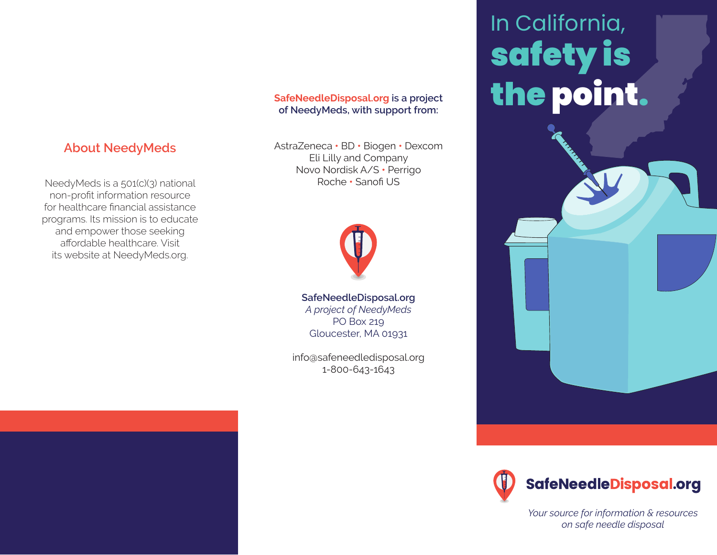NeedyMeds is a 501(c)(3) national non-profit information resource for healthcare financial assistance programs. Its mission is to educate and empower those seeking affordable healthcare. Visit its website at NeedyMeds.org.

**About NeedyMeds**

**SafeNeedleDisposal.org is a project of NeedyMeds, with support from:**

AstraZeneca **•** BD **•** Biogen **•** Dexcom Eli Lilly and Company Novo Nordisk A/S **•** Perrigo Roche **•** Sanofi US



**SafeNeedleDisposal.org** *A project of NeedyMeds* PO Box 219 Gloucester, MA 01931

info@safeneedledisposal.org 1-800-643-1643

# In California, safety is the point.





*Your source for information & resources on safe needle disposal*